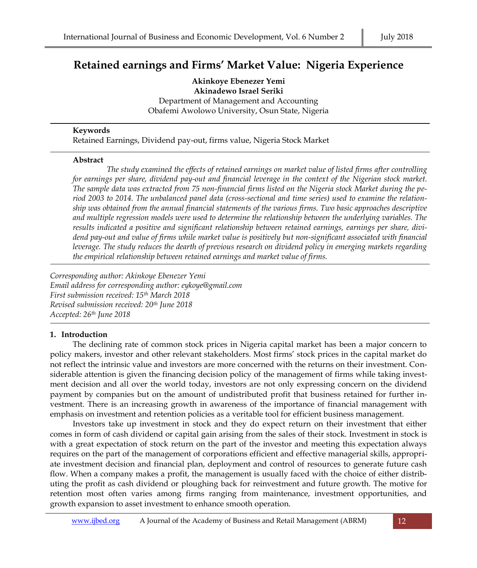# **Retained earnings and Firms' Market Value: Nigeria Experience**

**Akinkoye Ebenezer Yemi Akinadewo Israel Seriki** Department of Management and Accounting Obafemi Awolowo University, Osun State, Nigeria

#### **Keywords**

Retained Earnings, Dividend pay-out, firms value, Nigeria Stock Market

#### **Abstract**

*The study examined the effects of retained earnings on market value of listed firms after controlling for earnings per share, dividend pay-out and financial leverage in the context of the Nigerian stock market. The sample data was extracted from 75 non-financial firms listed on the Nigeria stock Market during the period 2003 to 2014. The unbalanced panel data (cross-sectional and time series) used to examine the relationship was obtained from the annual financial statements of the various firms. Two basic approaches descriptive and multiple regression models were used to determine the relationship between the underlying variables. The results indicated a positive and significant relationship between retained earnings, earnings per share, dividend pay-out and value of firms while market value is positively but non-significant associated with financial leverage. The study reduces the dearth of previous research on dividend policy in emerging markets regarding the empirical relationship between retained earnings and market value of firms.* 

*Corresponding author: Akinkoye Ebenezer Yemi Email address for corresponding author: eykoye@gmail.com First submission received: 15th March 2018 Revised submission received: 20th June 2018 Accepted: 26th June 2018*

#### **1. Introduction**

The declining rate of common stock prices in Nigeria capital market has been a major concern to policy makers, investor and other relevant stakeholders. Most firms' stock prices in the capital market do not reflect the intrinsic value and investors are more concerned with the returns on their investment. Considerable attention is given the financing decision policy of the management of firms while taking investment decision and all over the world today, investors are not only expressing concern on the dividend payment by companies but on the amount of undistributed profit that business retained for further investment. There is an increasing growth in awareness of the importance of financial management with emphasis on investment and retention policies as a veritable tool for efficient business management.

Investors take up investment in stock and they do expect return on their investment that either comes in form of cash dividend or capital gain arising from the sales of their stock. Investment in stock is with a great expectation of stock return on the part of the investor and meeting this expectation always requires on the part of the management of corporations efficient and effective managerial skills, appropriate investment decision and financial plan, deployment and control of resources to generate future cash flow. When a company makes a profit, the management is usually faced with the choice of either distributing the profit as cash dividend or ploughing back for reinvestment and future growth. The motive for retention most often varies among firms ranging from maintenance, investment opportunities, and growth expansion to asset investment to enhance smooth operation.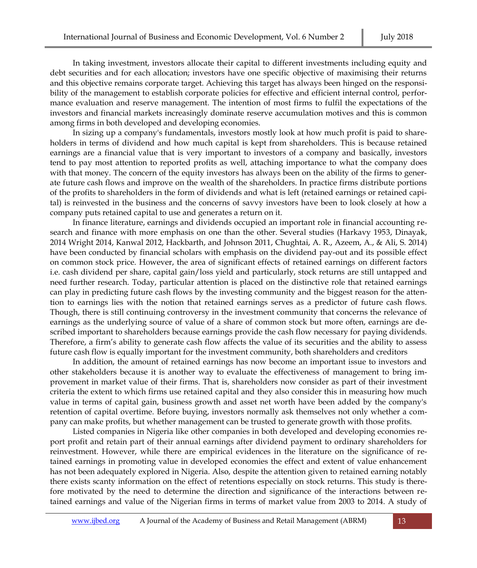In taking investment, investors allocate their capital to different investments including equity and debt securities and for each allocation; investors have one specific objective of maximising their returns and this objective remains corporate target. Achieving this target has always been hinged on the responsibility of the management to establish corporate policies for effective and efficient internal control, performance evaluation and reserve management. The intention of most firms to fulfil the expectations of the investors and financial markets increasingly dominate reserve accumulation motives and this is common among firms in both developed and developing economies.

In sizing up a company's fundamentals, investors mostly look at how much profit is paid to shareholders in terms of dividend and how much capital is kept from shareholders. This is because retained earnings are a financial value that is very important to investors of a company and basically, investors tend to pay most attention to reported profits as well, attaching importance to what the company does with that money. The concern of the equity investors has always been on the ability of the firms to generate future cash flows and improve on the wealth of the shareholders. In practice firms distribute portions of the profits to shareholders in the form of dividends and what is left (retained earnings or retained capital) is reinvested in the business and the concerns of savvy investors have been to look closely at how a company [puts retained capital to use](http://www.investopedia.com/articles/04/031004.asp) and generates a return on it.

In finance literature, earnings and dividends occupied an important role in financial accounting research and finance with more emphasis on one than the other. Several studies (Harkavy 1953, Dinayak, 2014 Wright 2014, Kanwal 2012, Hackbarth, and Johnson 2011, Chughtai, A. R., Azeem, A., & Ali, S. 2014) have been conducted by financial scholars with emphasis on the dividend pay-out and its possible effect on common stock price. However, the area of significant effects of retained earnings on different factors i.e. cash dividend per share, capital gain/loss yield and particularly, stock returns are still untapped and need further research. Today, particular attention is placed on the distinctive role that retained earnings can play in predicting future cash flows by the investing community and the biggest reason for the attention to earnings lies with the notion that retained earnings serves as a predictor of future cash flows. Though, there is still continuing controversy in the investment community that concerns the relevance of earnings as the underlying source of value of a share of common stock but more often, earnings are described important to shareholders because earnings provide the cash flow necessary for paying dividends. Therefore, a firm's ability to generate cash flow affects the value of its securities and the ability to assess future cash flow is equally important for the investment community, both shareholders and creditors

In addition, the amount of retained earnings has now become an important issue to investors and other stakeholders because it is another way to evaluate the effectiveness of management to bring improvement in market value of their firms. That is, shareholders now consider as part of their investment criteria the extent to which firms use retained capital and they also consider this in measuring how much value in terms of capital gain, business growth and asset net worth have been added by the company's retention of capital overtime. Before buying, investors normally ask themselves not only whether a company can make profits, but whether management can be trusted to generate growth with those profits.

Listed companies in Nigeria like other companies in both developed and developing economies report profit and retain part of their annual earnings after dividend payment to ordinary shareholders for reinvestment. However, while there are empirical evidences in the literature on the significance of retained earnings in promoting value in developed economies the effect and extent of value enhancement has not been adequately explored in Nigeria. Also, despite the attention given to retained earning notably there exists scanty information on the effect of retentions especially on stock returns. This study is therefore motivated by the need to determine the direction and significance of the interactions between retained earnings and value of the Nigerian firms in terms of market value from 2003 to 2014. A study of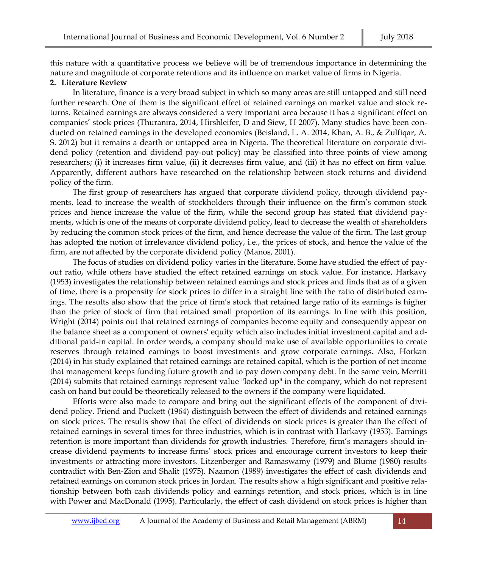this nature with a quantitative process we believe will be of tremendous importance in determining the nature and magnitude of corporate retentions and its influence on market value of firms in Nigeria.

#### **2. Literature Review**

In literature, finance is a very broad subject in which so many areas are still untapped and still need further research. One of them is the significant effect of retained earnings on market value and stock returns. Retained earnings are always considered a very important area because it has a significant effect on companies' stock prices (Thuranira, 2014, Hirshleifer, D and Siew, H 2007). Many studies have been conducted on retained earnings in the developed economies (Beisland, L. A. 2014, Khan, A. B., & Zulfiqar, A. S. 2012) but it remains a dearth or untapped area in Nigeria. The theoretical literature on corporate dividend policy (retention and dividend pay-out policy) may be classified into three points of view among researchers; (i) it increases firm value, (ii) it decreases firm value, and (iii) it has no effect on firm value. Apparently, different authors have researched on the relationship between stock returns and dividend policy of the firm.

The first group of researchers has argued that corporate dividend policy, through dividend payments, lead to increase the wealth of stockholders through their influence on the firm's common stock prices and hence increase the value of the firm, while the second group has stated that dividend payments, which is one of the means of corporate dividend policy, lead to decrease the wealth of shareholders by reducing the common stock prices of the firm, and hence decrease the value of the firm. The last group has adopted the notion of irrelevance dividend policy, i.e., the prices of stock, and hence the value of the firm, are not affected by the corporate dividend policy (Manos, 2001).

The focus of studies on dividend policy varies in the literature. Some have studied the effect of payout ratio, while others have studied the effect retained earnings on stock value. For instance, Harkavy (1953) investigates the relationship between retained earnings and stock prices and finds that as of a given of time, there is a propensity for stock prices to differ in a straight line with the ratio of distributed earnings. The results also show that the price of firm's stock that retained large ratio of its earnings is higher than the price of stock of firm that retained small proportion of its earnings. In line with this position, Wright (2014) points out that retained earnings of companies become equity and consequently appear on the balance sheet as a component of owners' equity which also includes initial investment capital and additional paid-in capital. In order words, a company should make use of available opportunities to create reserves through retained earnings to boost investments and grow corporate earnings. Also, Horkan (2014) in his study explained that retained earnings are retained capital, which is the portion of net income that management keeps funding future growth and to pay down company debt. In the same vein, Merritt (2014) submits that retained earnings represent value "locked up" in the company, which do not represent cash on hand but could be theoretically released to the owners if the company were liquidated.

Efforts were also made to compare and bring out the significant effects of the component of dividend policy. Friend and Puckett (1964) distinguish between the effect of dividends and retained earnings on stock prices. The results show that the effect of dividends on stock prices is greater than the effect of retained earnings in several times for three industries, which is in contrast with Harkavy (1953). Earnings retention is more important than dividends for growth industries. Therefore, firm's managers should increase dividend payments to increase firms' stock prices and encourage current investors to keep their investments or attracting more investors. Litzenberger and Ramaswamy (1979) and Blume (1980) results contradict with Ben-Zion and Shalit (1975). Naamon (1989) investigates the effect of cash dividends and retained earnings on common stock prices in Jordan. The results show a high significant and positive relationship between both cash dividends policy and earnings retention, and stock prices, which is in line with Power and MacDonald (1995). Particularly, the effect of cash dividend on stock prices is higher than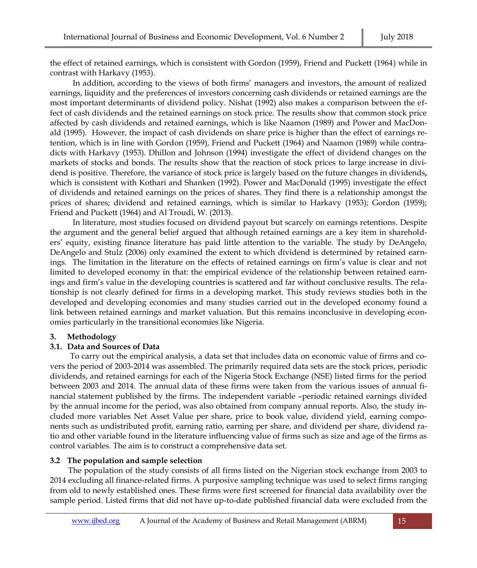the effect of retained earnings, which is consistent with Gordon (1959), Friend and Puckett (1964) while in contrast with Harkavy (1953).

In addition, according to the views of both firms' managers and investors, the amount of realized earnings, liquidity and the preferences of investors concerning cash dividends or retained earnings are the most important determinants of dividend policy. Nishat (1992) also makes a comparison between the effect of cash dividends and the retained earnings on stock price. The results show that common stock price affected by cash dividends and retained earnings, which is like Naamon (1989) and Power and MacDonald (1995). However, the impact of cash dividends on share price is higher than the effect of earnings retention, which is in line with Gordon (1959), Friend and Puckett (1964) and Naamon (1989) while contradicts with Harkavy (1953). Dhillon and Johnson (1994) investigate the effect of dividend changes on the markets of stocks and bonds. The results show that the reaction of stock prices to large increase in dividend is positive. Therefore, the variance of stock price is largely based on the future changes in dividends**,**  which is consistent with Kothari and Shanken (1992). Power and MacDonald (1995) investigate the effect of dividends and retained earnings on the prices of shares. They find there is a relationship amongst the prices of shares; dividend and retained earnings, which is similar to Harkavy (1953); Gordon (1959); Friend and Puckett (1964) and Al Troudi, W. (2013).

In literature, most studies focused on dividend payout but scarcely on earnings retentions. Despite the argument and the general belief argued that although retained earnings are a key item in shareholders' equity, existing finance literature has paid little attention to the variable. The study by DeAngelo, DeAngelo and Stulz (2006) only examined the extent to which dividend is determined by retained earnings. The limitation in the literature on the effects of retained earnings on firm's value is clear and not limited to developed economy in that: the empirical evidence of the relationship between retained earnings and firm's value in the developing countries is scattered and far without conclusive results. The relationship is not clearly defined for firms in a developing market. This study reviews studies both in the developed and developing economies and many studies carried out in the developed economy found a link between retained earnings and market valuation. But this remains inconclusive in developing economies particularly in the transitional economies like Nigeria.

#### **3. Methodology**

#### **3.1. Data and Sources of Data**

 To carry out the empirical analysis, a data set that includes data on economic value of firms and covers the period of 2003-2014 was assembled. The primarily required data sets are the stock prices, periodic dividends, and retained earnings for each of the Nigeria Stock Exchange (NSE) listed firms for the period between 2003 and 2014. The annual data of these firms were taken from the various issues of annual financial statement published by the firms. The independent variable –periodic retained earnings divided by the annual income for the period, was also obtained from company annual reports. Also, the study included more variables Net Asset Value per share, price to book value, dividend yield, earning components such as undistributed profit, earning ratio, earning per share, and dividend per share, dividend ratio and other variable found in the literature influencing value of firms such as size and age of the firms as control variables. The aim is to construct a comprehensive data set.

# **3.2 The population and sample selection**

 The population of the study consists of all firms listed on the Nigerian stock exchange from 2003 to 2014 excluding all finance-related firms. A purposive sampling technique was used to select firms ranging from old to newly established ones. These firms were first screened for financial data availability over the sample period. Listed firms that did not have up-to-date published financial data were excluded from the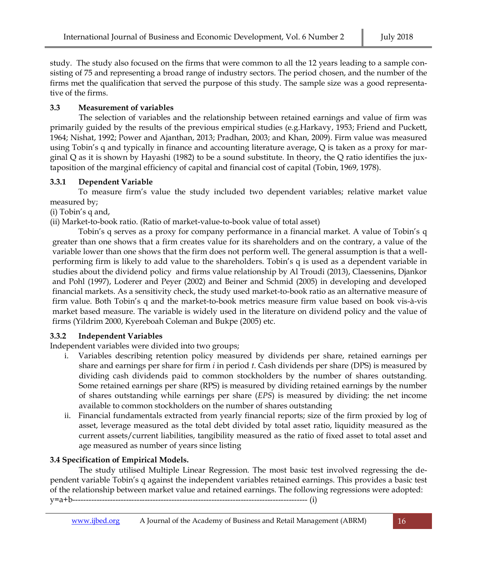study. The study also focused on the firms that were common to all the 12 years leading to a sample consisting of 75 and representing a broad range of industry sectors. The period chosen, and the number of the firms met the qualification that served the purpose of this study. The sample size was a good representative of the firms.

## **3.3 Measurement of variables**

The selection of variables and the relationship between retained earnings and value of firm was primarily guided by the results of the previous empirical studies (e.g.Harkavy, 1953; Friend and Puckett, 1964; Nishat, 1992; Power and Ajanthan, 2013; Pradhan, 2003; and Khan, 2009). Firm value was measured using Tobin's q and typically in finance and accounting literature average, Q is taken as a proxy for marginal Q as it is shown by Hayashi (1982) to be a sound substitute. In theory, the Q ratio identifies the juxtaposition of the marginal efficiency of capital and financial cost of capital (Tobin, 1969, 1978).

### **3.3.1 Dependent Variable**

To measure firm's value the study included two dependent variables; relative market value measured by;

(i) Tobin's q and,

(ii) Market-to-book ratio. (Ratio of market-value-to-book value of total asset)

Tobin's q serves as a proxy for company performance in a financial market. A value of Tobin's q greater than one shows that a firm creates value for its shareholders and on the contrary, a value of the variable lower than one shows that the firm does not perform well. The general assumption is that a wellperforming firm is likely to add value to the shareholders. Tobin's q is used as a dependent variable in studies about the dividend policy and firms value relationship by Al Troudi (2013), Claessenins, Djankor and Pohl (1997), Loderer and Peyer (2002) and Beiner and Schmid (2005) in developing and developed financial markets. As a sensitivity check, the study used market-to-book ratio as an alternative measure of firm value. Both Tobin's q and the market-to-book metrics measure firm value based on book vis-à-vis market based measure. The variable is widely used in the literature on dividend policy and the value of firms (Yildrim 2000, Kyereboah Coleman and Bukpe (2005) etc.

# **3.3.2 Independent Variables**

Independent variables were divided into two groups;

- i. Variables describing retention policy measured by dividends per share, retained earnings per share and earnings per share for firm *i* in period *t*. Cash dividends per share (DPS) is measured by dividing cash dividends paid to common stockholders by the number of shares outstanding. Some retained earnings per share (RPS) is measured by dividing retained earnings by the number of shares outstanding while earnings per share (*EPS*) is measured by dividing: the net income available to common stockholders on the number of shares outstanding
- ii. Financial fundamentals extracted from yearly financial reports; size of the firm proxied by log of asset, leverage measured as the total debt divided by total asset ratio, liquidity measured as the current assets/current liabilities, tangibility measured as the ratio of fixed asset to total asset and age measured as number of years since listing

# **3.4 Specification of Empirical Models.**

The study utilised Multiple Linear Regression. The most basic test involved regressing the dependent variable Tobin's q against the independent variables retained earnings. This provides a basic test of the relationship between market value and retained earnings. The following regressions were adopted: y=a+b---------------------------------------------------------------------------------------- (i)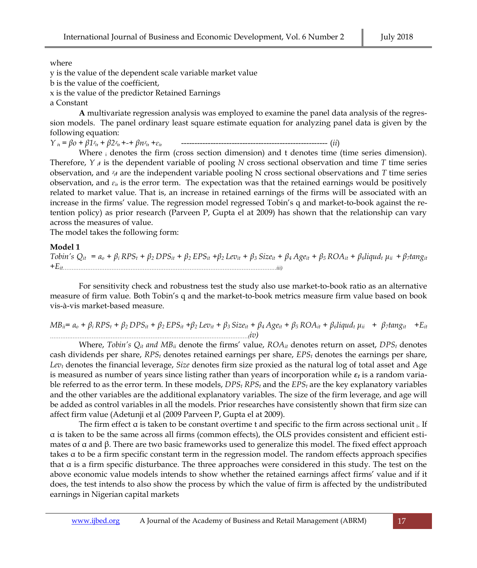where

y is the value of the dependent scale variable market value

b is the value of the coefficient,

x is the value of the predictor Retained Earnings

a Constant

**A** multivariate regression analysis was employed to examine the panel data analysis of the regression models. The panel ordinary least square estimate equation for analyzing panel data is given by the following equation:

*Y ᵢ*<sup>ᵼ</sup> = *βo + β1ᵡᵢ<sup>ᵼ</sup> + β2ᵡᵢ<sup>ᵼ</sup> +-+ βnᵡᵢ<sup>ᵼ</sup> +ɛᵢᵼ* ------------------------------------------------------- (*ii*)

Where  $_i$  denotes the firm (cross section dimension) and t denotes time (time series dimension). Therefore,  $Y_{i}$  is the dependent variable of pooling *N* cross sectional observation and time *T* time series observation, and *ᵡᵢᵼ* are the independent variable pooling N cross sectional observations and *T* time series observation, and  $\varepsilon_i$  is the error term. The expectation was that the retained earnings would be positively related to market value. That is, an increase in retained earnings of the firms will be associated with an increase in the firms' value. The regression model regressed Tobin's q and market-to-book against the retention policy) as prior research (Parveen P, Gupta el at 2009) has shown that the relationship can vary across the measures of value.

The model takes the following form:

#### **Model 1**

Tobin's  $Q_{it} = a_o + \beta_i RPS_t + \beta_2 DPS_{it} + \beta_2 EPS_{it} + \beta_2 Lev_{it} + \beta_3 Size_{it} + \beta_4 Age_{it} + \beta_5 ROA_{it} + \beta_6 liquid_t \mu_{it} + \beta_7 tang_{it}$ *+Eit……………………………………………………………………………………………………………iii)*

For sensitivity check and robustness test the study also use market-to-book ratio as an alternative measure of firm value. Both Tobin's q and the market-to-book metrics measure firm value based on book vis-à-vis market-based measure.

$$
MB_{ii} = a_o + \beta_i RPS_t + \beta_2 DPS_{it} + \beta_2 EPS_{it} + \beta_2 Lev_{it} + \beta_3 Size_{it} + \beta_4 Age_{it} + \beta_5 ROA_{it} + \beta_6 liquid_t \mu_{ii} + \beta_7 tang_{it} + E_{it}
$$

Where, *Tobin's*  $Q_{it}$  *and*  $MB_{it}$  denote the firms' value,  $ROA_{it}$  denotes return on asset,  $DPS_t$  denotes cash dividends per share, *RPS<sup>t</sup>* denotes retained earnings per share, *EPS<sup>t</sup>* denotes the earnings per share, *Lev<sup>t</sup>* denotes the financial leverage, *Size* denotes firm size proxied as the natural log of total asset and Age is measured as number of years since listing rather than years of incorporation while *ε<sup>t</sup>* is a random variable referred to as the error term. In these models, *DPS<sup>t</sup> RPS<sup>t</sup>* and the *EPS<sup>t</sup>* are the key explanatory variables and the other variables are the additional explanatory variables. The size of the firm leverage, and age will be added as control variables in all the models. Prior researches have consistently shown that firm size can affect firm value (Adetunji et al (2009 Parveen P, Gupta el at 2009).

The firm effect a is taken to be constant overtime t and specific to the firm across sectional unit  $\mu$ . If α is taken to be the same across all firms (common effects), the OLS provides consistent and efficient estimates of α and β. There are two basic frameworks used to generalize this model. The fixed effect approach takes α to be a firm specific constant term in the regression model. The random effects approach specifies that  $α$  is a firm specific disturbance. The three approaches were considered in this study. The test on the above economic value models intends to show whether the retained earnings affect firms' value and if it does, the test intends to also show the process by which the value of firm is affected by the undistributed earnings in Nigerian capital markets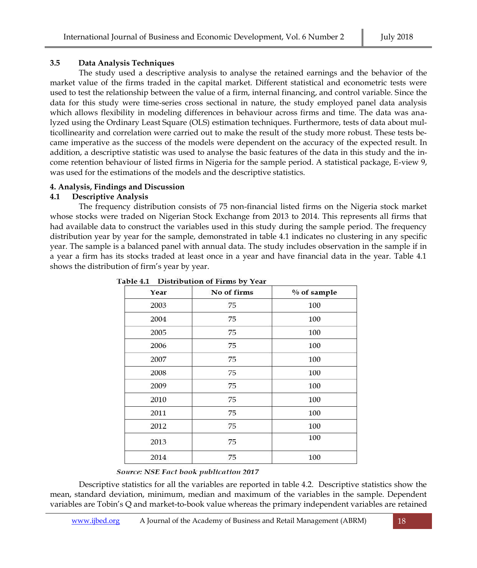### **3.5 Data Analysis Techniques**

The study used a descriptive analysis to analyse the retained earnings and the behavior of the market value of the firms traded in the capital market. Different statistical and econometric tests were used to test the relationship between the value of a firm, internal financing, and control variable. Since the data for this study were time-series cross sectional in nature, the study employed panel data analysis which allows flexibility in modeling differences in behaviour across firms and time. The data was analyzed using the Ordinary Least Square (OLS) estimation techniques. Furthermore, tests of data about multicollinearity and correlation were carried out to make the result of the study more robust. These tests became imperative as the success of the models were dependent on the accuracy of the expected result. In addition, a descriptive statistic was used to analyse the basic features of the data in this study and the income retention behaviour of listed firms in Nigeria for the sample period. A statistical package, E-view 9, was used for the estimations of the models and the descriptive statistics.

#### **4. Analysis, Findings and Discussion**

#### **4.1 Descriptive Analysis**

The frequency distribution consists of 75 non-financial listed firms on the Nigeria stock market whose stocks were traded on Nigerian Stock Exchange from 2013 to 2014. This represents all firms that had available data to construct the variables used in this study during the sample period. The frequency distribution year by year for the sample, demonstrated in table 4.1 indicates no clustering in any specific year. The sample is a balanced panel with annual data. The study includes observation in the sample if in a year a firm has its stocks traded at least once in a year and have financial data in the year. Table 4.1 shows the distribution of firm's year by year.

| Year | No of firms | $%$ of sample |
|------|-------------|---------------|
| 2003 | 75          | 100           |
| 2004 | 75          | 100           |
| 2005 | 75          | 100           |
| 2006 | 75          | 100           |
| 2007 | 75          | 100           |
| 2008 | 75          | 100           |
| 2009 | 75          | 100           |
| 2010 | 75          | 100           |
| 2011 | 75          | 100           |
| 2012 | 75          | 100           |
| 2013 | 75          | 100           |
| 2014 | 75          | 100           |

Table 4.1 Distribution of Firms by Year

#### Source: NSE Fact book publication 2017

Descriptive statistics for all the variables are reported in table 4.2. Descriptive statistics show the mean, standard deviation, minimum, median and maximum of the variables in the sample. Dependent variables are Tobin's Q and market-to-book value whereas the primary independent variables are retained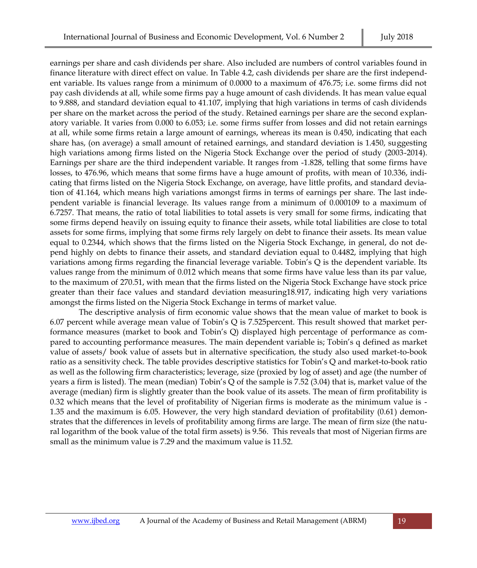earnings per share and cash dividends per share. Also included are numbers of control variables found in finance literature with direct effect on value. In Table 4.2, cash dividends per share are the first independent variable. Its values range from a minimum of 0.0000 to a maximum of 476.75; i.e. some firms did not pay cash dividends at all, while some firms pay a huge amount of cash dividends. It has mean value equal to 9.888, and standard deviation equal to 41.107, implying that high variations in terms of cash dividends per share on the market across the period of the study. Retained earnings per share are the second explanatory variable. It varies from 0.000 to 6.053; i.e. some firms suffer from losses and did not retain earnings at all, while some firms retain a large amount of earnings, whereas its mean is 0.450, indicating that each share has, (on average) a small amount of retained earnings, and standard deviation is 1.450, suggesting high variations among firms listed on the Nigeria Stock Exchange over the period of study (2003-2014). Earnings per share are the third independent variable. It ranges from -1.828, telling that some firms have losses, to 476.96, which means that some firms have a huge amount of profits, with mean of 10.336, indicating that firms listed on the Nigeria Stock Exchange, on average, have little profits, and standard deviation of 41.164, which means high variations amongst firms in terms of earnings per share. The last independent variable is financial leverage. Its values range from a minimum of 0.000109 to a maximum of 6.7257. That means, the ratio of total liabilities to total assets is very small for some firms, indicating that some firms depend heavily on issuing equity to finance their assets, while total liabilities are close to total assets for some firms, implying that some firms rely largely on debt to finance their assets. Its mean value equal to 0.2344, which shows that the firms listed on the Nigeria Stock Exchange, in general, do not depend highly on debts to finance their assets, and standard deviation equal to 0.4482, implying that high variations among firms regarding the financial leverage variable. Tobin's Q is the dependent variable. Its values range from the minimum of 0.012 which means that some firms have value less than its par value, to the maximum of 270.51, with mean that the firms listed on the Nigeria Stock Exchange have stock price greater than their face values and standard deviation measuring18.917, indicating high very variations amongst the firms listed on the Nigeria Stock Exchange in terms of market value.

The descriptive analysis of firm economic value shows that the mean value of market to book is 6.07 percent while average mean value of Tobin's Q is 7.525percent. This result showed that market performance measures (market to book and Tobin's Q) displayed high percentage of performance as compared to accounting performance measures. The main dependent variable is; Tobin's q defined as market value of assets/ book value of assets but in alternative specification, the study also used market-to-book ratio as a sensitivity check. The table provides descriptive statistics for Tobin's Q and market-to-book ratio as well as the following firm characteristics; leverage, size (proxied by log of asset) and age (the number of years a firm is listed). The mean (median) Tobin's Q of the sample is 7.52 (3.04) that is, market value of the average (median) firm is slightly greater than the book value of its assets. The mean of firm profitability is 0.32 which means that the level of profitability of Nigerian firms is moderate as the minimum value is - 1.35 and the maximum is 6.05. However, the very high standard deviation of profitability (0.61) demonstrates that the differences in levels of profitability among firms are large. The mean of firm size (the natural logarithm of the book value of the total firm assets) is 9.56. This reveals that most of Nigerian firms are small as the minimum value is 7.29 and the maximum value is 11.52.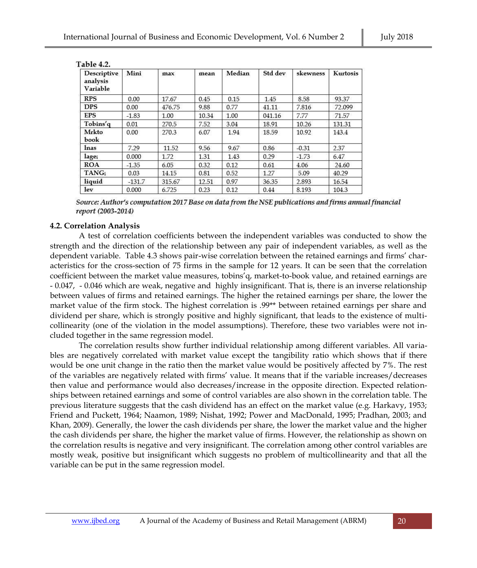| <b>Descriptive</b><br>analysis<br>Variable | Mini     | max    | mean  | Median | Std dev | skewness | Kurtosis |
|--------------------------------------------|----------|--------|-------|--------|---------|----------|----------|
| <b>RPS</b>                                 | 0.00     | 17.67  | 0.45  | 0.15   | 1.45    | 8.58     | 93.37    |
| <b>DPS</b>                                 | 0.00     | 476.75 | 9.88  | 0.77   | 41.11   | 7.816    | 72.099   |
| <b>EPS</b>                                 | $-1.83$  | 1.00   | 10.34 | 1.00   | 041.16  | 7.77     | 71.57    |
| Tobins'q                                   | 0.01     | 270.5  | 7.52  | 3.04   | 18.91   | 10.26    | 131.31   |
| Mrkto<br>book                              | 0.00     | 270.3  | 6.07  | 1.94   | 18.59   | 10.92    | 143.4    |
| lnas                                       | 7.29     | 11.52  | 9.56  | 9.67   | 0.86    | $-0.31$  | 2.37     |
| lagei                                      | 0.000    | 1.72   | 1.31  | 1.43   | 0.29    | $-1.73$  | 6.47     |
| <b>ROA</b>                                 | $-1.35$  | 6.05   | 0.32  | 0.12   | 0.61    | 4.06     | 24.60    |
| <b>TANG</b>                                | 0.03     | 14.15  | 0.81  | 0.52   | 1.27    | 5.09     | 40.29    |
| liquid                                     | $-131.7$ | 315.67 | 12.51 | 0.97   | 36.35   | 2.893    | 16.54    |
| lev                                        | 0.000    | 6.725  | 0.23  | 0.12   | 0.44    | 8.193    | 104.3    |

Table 42

Source: Author's computation 2017 Base on data from the NSE publications and firms annual financial report (2003-2014)

#### **4.2. Correlation Analysis**

A test of correlation coefficients between the independent variables was conducted to show the strength and the direction of the relationship between any pair of independent variables, as well as the dependent variable. Table 4.3 shows pair-wise correlation between the retained earnings and firms' characteristics for the cross-section of 75 firms in the sample for 12 years. It can be seen that the correlation coefficient between the market value measures, tobins'q, market-to-book value, and retained earnings are - 0.047, - 0.046 which are weak, negative and highly insignificant. That is, there is an inverse relationship between values of firms and retained earnings. The higher the retained earnings per share, the lower the market value of the firm stock. The highest correlation is .99\*\* between retained earnings per share and dividend per share, which is strongly positive and highly significant, that leads to the existence of multicollinearity (one of the violation in the model assumptions). Therefore, these two variables were not included together in the same regression model.

The correlation results show further individual relationship among different variables. All variables are negatively correlated with market value except the tangibility ratio which shows that if there would be one unit change in the ratio then the market value would be positively affected by 7%. The rest of the variables are negatively related with firms' value. It means that if the variable increases/decreases then value and performance would also decreases/increase in the opposite direction. Expected relationships between retained earnings and some of control variables are also shown in the correlation table. The previous literature suggests that the cash dividend has an effect on the market value (e.g. Harkavy, 1953; Friend and Puckett, 1964; Naamon, 1989; Nishat, 1992; Power and MacDonald, 1995; Pradhan, 2003; and Khan, 2009). Generally, the lower the cash dividends per share, the lower the market value and the higher the cash dividends per share, the higher the market value of firms. However, the relationship as shown on the correlation results is negative and very insignificant. The correlation among other control variables are mostly weak, positive but insignificant which suggests no problem of multicollinearity and that all the variable can be put in the same regression model.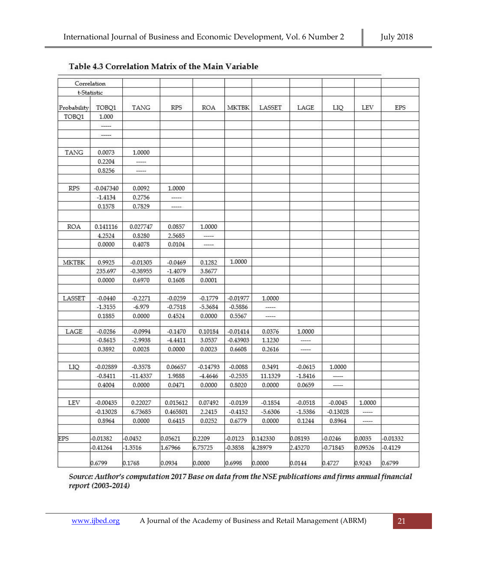|               | Correlation      |                  |                  |            |              |           |                          |               |               |            |
|---------------|------------------|------------------|------------------|------------|--------------|-----------|--------------------------|---------------|---------------|------------|
|               | t-Statistic      |                  |                  |            |              |           |                          |               |               |            |
| Probability   | TOBQ1            | <b>TANG</b>      | <b>RPS</b>       | ROA        | <b>MKTBK</b> | LASSET    | LAGE                     | LIQ           | LEV           | <b>EPS</b> |
| TOBQ1         | 1.000            |                  |                  |            |              |           |                          |               |               |            |
|               | $\cdots$         |                  |                  |            |              |           |                          |               |               |            |
|               | -----            |                  |                  |            |              |           |                          |               |               |            |
| TANG          | 0.0073           | 1.0000           |                  |            |              |           |                          |               |               |            |
|               | 0.2204           |                  |                  |            |              |           |                          |               |               |            |
|               | 0.8256           | -----            |                  |            |              |           |                          |               |               |            |
| <b>RPS</b>    | $-0.047340$      | 0.0092           | 1.0000           |            |              |           |                          |               |               |            |
|               | $-1.4134$        | 0.2756           | -----            |            |              |           |                          |               |               |            |
|               | 0.1578           | 0.7829           | -----            |            |              |           |                          |               |               |            |
|               |                  |                  |                  |            |              |           |                          |               |               |            |
| ROA           | 0.141116         | 0.027747         | 0.0857           | 1.0000     |              |           |                          |               |               |            |
|               | 4.2524<br>0.0000 | 0.8280<br>0.4078 | 2.5685<br>0.0104 | $\cdots$   |              |           |                          |               |               |            |
|               |                  |                  |                  |            |              |           |                          |               |               |            |
| MKTBK         | 0.9925           | $-0.01305$       | $-0.0469$        | 0.1282     | 1.0000       |           |                          |               |               |            |
|               | 235.697          | $-0.38955$       | $-1.4079$        | 3.8677     |              |           |                          |               |               |            |
|               | 0.0000           | 0.6970           | 0.1608           | 0.0001     |              |           |                          |               |               |            |
| LASSET        | $-0.0440$        | $-0.2271$        | $-0.0259$        | $-0.1779$  | $-0.01977$   | 1.0000    |                          |               |               |            |
|               | $-1.3155$        | $-6.979$         | $-0.7518$        | $-5.3684$  | $-0.5886$    | -----     |                          |               |               |            |
|               | 0.1885           | 0.0000           | 0.4524           | 0.0000     | 0.5567       | -----     |                          |               |               |            |
| $_{\rm LAGE}$ | $-0.0286$        | $-0.0994$        | $-0.1470$        | 0.10184    | $-0.01414$   | 0.0376    | 1.0000                   |               |               |            |
|               | $-0.8615$        | $-2.9938$        | $-4.4411$        | 3.0537     | $-0.43903$   | 1.1230    | $\overline{\phantom{a}}$ |               |               |            |
|               | 0.3892           | 0.0028           | 0.0000           | 0.0023     | 0.6608       | 0.2616    | $\cdots$                 |               |               |            |
| LIQ           | $-0.02889$       | $-0.3578$        | 0.06657          | $-0.14793$ | $-0.0088$    | 0.3491    | $-0.0615$                | 1.0000        |               |            |
|               | $-0.8411$        | $-11.4337$       | 1.9888           | $-4.4646$  | $-0.2535$    | 11.1329   | $-1.8416$                | $\frac{1}{2}$ |               |            |
|               | 0.4004           | 0.0000           | 0.0471           | 0.0000     | 0.8020       | 0.0000    | 0.0659                   | -----         |               |            |
| <b>LEV</b>    | $-0.00435$       | 0.22027          | 0.015612         | 0.07492    | $-0.0139$    | $-0.1854$ | $-0.0518$                | $-0.0045$     | 1.0000        |            |
|               | $-0.13028$       | 6.73685          | 0.465801         | 2.2415     | $-0.4152$    | $-5.6306$ | $-1.5386$                | $-0.13028$    | $\frac{1}{2}$ |            |
|               | 0.8964           | 0.0000           | 0.6415           | 0.0252     | 0.6779       | 0.0000    | 0.1244                   | 0.8964        | -----         |            |
| <b>EPS</b>    | $-0.01382$       | $-0.0452$        | 0.05621          | 0.2209     | $-0.0123$    | 0.142330  | 0.08193                  | $-0.0246$     | 0.0035        | $-0.01332$ |
|               | $-0.41264$       | $-1.3516$        | 1.67966          | 6.75725    | $-0.3858$    | 4.28979   | 2.45270                  | $-0.71845$    | 0.09526       | $-0.4129$  |
|               | 0.6799           | 0.1768           | 0.0934           | 0.0000     | 0.6998       | 0.0000    | 0.0144                   | 0.4727        | 0.9243        | 0.6799     |

# Table 4.3 Correlation Matrix of the Main Variable

Source: Author's computation 2017 Base on data from the NSE publications and firms annual financial report (2003-2014)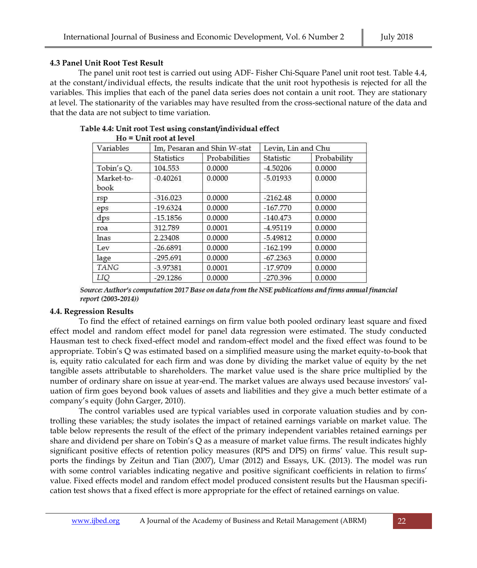## **4.3 Panel Unit Root Test Result**

The panel unit root test is carried out using ADF- Fisher Chi-Square Panel unit root test. Table 4.4, at the constant/individual effects, the results indicate that the unit root hypothesis is rejected for all the variables. This implies that each of the panel data series does not contain a unit root. They are stationary at level. The stationarity of the variables may have resulted from the cross-sectional nature of the data and that the data are not subject to time variation.

| Variables          |                   | Im, Pesaran and Shin W-stat | Levin, Lin and Chu |             |  |  |
|--------------------|-------------------|-----------------------------|--------------------|-------------|--|--|
|                    | <b>Statistics</b> | Probabilities               | Statistic          | Probability |  |  |
| Tobin's Q.         | 104.553           | 0.0000                      | $-4.50206$         | 0.0000      |  |  |
| Market-to-<br>book | $-0.40261$        | 0.0000                      | $-5.01933$         | 0.0000      |  |  |
| rsp                | $-316.023$        | 0.0000                      | $-2162.48$         | 0.0000      |  |  |
| eps                | $-19.6324$        | 0.0000                      | $-167.770$         | 0.0000      |  |  |
| dps                | $-15.1856$        | 0.0000                      | $-140.473$         | 0.0000      |  |  |
| roa                | 312.789           | 0.0001                      | $-4.95119$         | 0.0000      |  |  |
| lnas               | 2.23408           | 0.0000                      | $-5.49812$         | 0.0000      |  |  |
| Lev                | $-26.6891$        | 0.0000                      | $-162.199$         | 0.0000      |  |  |
| lage               | $-295.691$        | 0.0000                      | $-67.2363$         | 0.0000      |  |  |
| <b>TANG</b>        | $-3.97381$        | 0.0001                      | $-17.9709$         | 0.0000      |  |  |
| LIQ                | $-29.1286$        | 0.0000                      | $-270.396$         | 0.0000      |  |  |

#### Table 4.4: Unit root Test using constant/individual effect  $H_0 = H_0H$  and at layed

Source: Author's computation 2017 Base on data from the NSE publications and firms annual financial report (2003-2014))

# **4.4. Regression Results**

To find the effect of retained earnings on firm value both pooled ordinary least square and fixed effect model and random effect model for panel data regression were estimated. The study conducted Hausman test to check fixed-effect model and random-effect model and the fixed effect was found to be appropriate. Tobin's Q was estimated based on a simplified measure using the market equity-to-book that is, equity ratio calculated for each firm and was done by dividing the market value of equity by the net tangible assets attributable to shareholders. The market value used is the share price multiplied by the number of ordinary share on issue at year-end. The market values are always used because investors' valuation of firm goes beyond book values of assets and liabilities and they give a much better estimate of a company's equity (John Garger, 2010).

The control variables used are typical variables used in corporate valuation studies and by controlling these variables; the study isolates the impact of retained earnings variable on market value. The table below represents the result of the effect of the primary independent variables retained earnings per share and dividend per share on Tobin's Q as a measure of market value firms. The result indicates highly significant positive effects of retention policy measures (RPS and DPS) on firms' value. This result supports the findings by Zeitun and Tian (2007), Umar (2012) and Essays, UK. (2013). The model was run with some control variables indicating negative and positive significant coefficients in relation to firms' value. Fixed effects model and random effect model produced consistent results but the Hausman specification test shows that a fixed effect is more appropriate for the effect of retained earnings on value.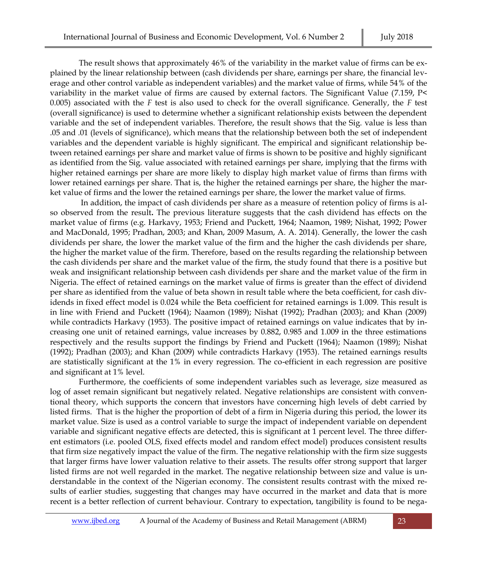The result shows that approximately 46% of the variability in the market value of firms can be explained by the linear relationship between (cash dividends per share, earnings per share, the financial leverage and other control variable as independent variables) and the market value of firms, while 54% of the variability in the market value of firms are caused by external factors. The Significant Value (7.159, P< 0.005) associated with the *F* test is also used to check for the overall significance. Generally, the *F* test (overall significance) is used to determine whether a significant relationship exists between the dependent variable and the set of independent variables. Therefore, the result shows that the Sig. value is less than .05 and .01 (levels of significance), which means that the relationship between both the set of independent variables and the dependent variable is highly significant. The empirical and significant relationship between retained earnings per share and market value of firms is shown to be positive and highly significant as identified from the Sig. value associated with retained earnings per share, implying that the firms with higher retained earnings per share are more likely to display high market value of firms than firms with lower retained earnings per share. That is, the higher the retained earnings per share, the higher the market value of firms and the lower the retained earnings per share, the lower the market value of firms.

In addition, the impact of cash dividends per share as a measure of retention policy of firms is also observed from the result**.** The previous literature suggests that the cash dividend has effects on the market value of firms (e.g. Harkavy, 1953; Friend and Puckett, 1964; Naamon, 1989; Nishat, 1992; Power and MacDonald, 1995; Pradhan, 2003; and Khan, 2009 Masum, A. A. 2014). Generally, the lower the cash dividends per share, the lower the market value of the firm and the higher the cash dividends per share, the higher the market value of the firm. Therefore, based on the results regarding the relationship between the cash dividends per share and the market value of the firm, the study found that there is a positive but weak and insignificant relationship between cash dividends per share and the market value of the firm in Nigeria. The effect of retained earnings on th**e** market value of firms is greater than the effect of dividend per share as identified from the value of beta shown in result table where the beta coefficient, for cash dividends in fixed effect model is 0.024 while the Beta coefficient for retained earnings is 1.009. This result is in line with Friend and Puckett (1964); Naamon (1989); Nishat (1992); Pradhan (2003); and Khan (2009) while contradicts Harkavy (1953). The positive impact of retained earnings on value indicates that by increasing one unit of retained earnings, value increases by 0.882, 0.985 and 1.009 in the three estimations respectively and the results support the findings by Friend and Puckett (1964); Naamon (1989); Nishat (1992); Pradhan (2003); and Khan (2009) while contradicts Harkavy (1953). The retained earnings results are statistically significant at the 1% in every regression. The co-efficient in each regression are positive and significant at 1% level.

Furthermore, the coefficients of some independent variables such as leverage, size measured as log of asset remain significant but negatively related. Negative relationships are consistent with conventional theory, which supports the concern that investors have concerning high levels of debt carried by listed firms. That is the higher the proportion of debt of a firm in Nigeria during this period, the lower its market value. Size is used as a control variable to surge the impact of independent variable on dependent variable and significant negative effects are detected, this is significant at 1 percent level. The three different estimators (i.e. pooled OLS, fixed effects model and random effect model) produces consistent results that firm size negatively impact the value of the firm. The negative relationship with the firm size suggests that larger firms have lower valuation relative to their assets. The results offer strong support that larger listed firms are not well regarded in the market. The negative relationship between size and value is understandable in the context of the Nigerian economy. The consistent results contrast with the mixed results of earlier studies, suggesting that changes may have occurred in the market and data that is more recent is a better reflection of current behaviour. Contrary to expectation, tangibility is found to be nega-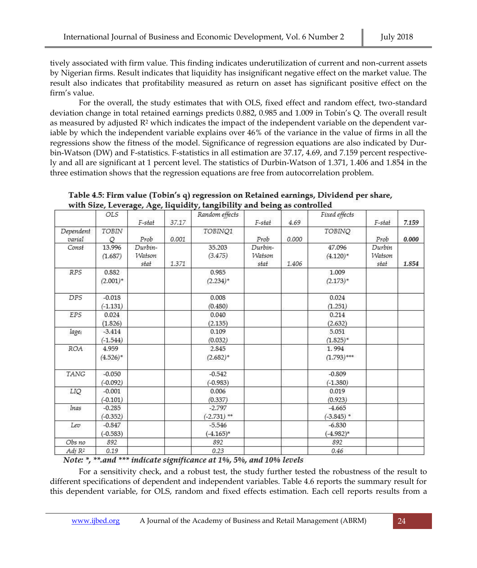tively associated with firm value. This finding indicates underutilization of current and non-current assets by Nigerian firms. Result indicates that liquidity has insignificant negative effect on the market value. The result also indicates that profitability measured as return on asset has significant positive effect on the firm's value.

For the overall, the study estimates that with OLS, fixed effect and random effect, two-standard deviation change in total retained earnings predicts 0.882, 0.985 and 1.009 in Tobin's Q. The overall result as measured by adjusted  $R^2$  which indicates the impact of the independent variable on the dependent variable by which the independent variable explains over 46% of the variance in the value of firms in all the regressions show the fitness of the model. Significance of regression equations are also indicated by Durbin-Watson (DW) and F-statistics. F-statistics in all estimation are 37.17, 4.69, and 7.159 percent respectively and all are significant at 1 percent level. The statistics of Durbin-Watson of 1.371, 1.406 and 1.854 in the three estimation shows that the regression equations are free from autocorrelation problem.

|                    | OLS         |         |       | Random effects |         |       | Fixed effects |        |       |
|--------------------|-------------|---------|-------|----------------|---------|-------|---------------|--------|-------|
|                    |             | F-stat  | 37.17 |                | F-stat  | 4.69  |               | F-stat | 7.159 |
| Dependent          | TOBIN       |         |       | TOBINQ1        |         |       | <b>TOBINQ</b> |        |       |
| varial             | O           | Prob    | 0.001 |                | Prob    | 0.000 |               | Prob   | 0.000 |
| Const              | 13.996      | Durbin- |       | 35,203         | Durbin- |       | 47.096        | Durbin |       |
|                    | (1.687)     | Watson  |       | (3.475)        | Watson  |       | $(4.120)$ *   | Watson |       |
|                    |             | stat    | 1.371 |                | stat    | 1.406 |               | stat   | 1.854 |
| <b>RPS</b>         | 0.882       |         |       | 0.985          |         |       | 1.009         |        |       |
|                    | $(2.001)^*$ |         |       | $(2.234)^*$    |         |       | $(2.173)*$    |        |       |
| <b>DPS</b>         | $-0.018$    |         |       | 0.008          |         |       | 0.024         |        |       |
|                    | $(-1.131)$  |         |       | (0.480)        |         |       | (1.251)       |        |       |
| <b>EPS</b>         | 0.024       |         |       | 0.040          |         |       | 0.214         |        |       |
|                    | (1.826)     |         |       | (2.135)        |         |       | (2.632)       |        |       |
| lagei              | $-3.414$    |         |       | 0.109          |         |       | 5.051         |        |       |
|                    | $(-1.544)$  |         |       | (0.032)        |         |       | $(1.825)^*$   |        |       |
| ROA                | 4.959       |         |       | 2.845          |         |       | 1.994         |        |       |
|                    | $(4.526)^*$ |         |       | $(2.682)^*$    |         |       | $(1.793)$ *** |        |       |
| TANG               | $-0.050$    |         |       | $-0.542$       |         |       | $-0.809$      |        |       |
|                    | $(-0.092)$  |         |       | $(-0.983)$     |         |       | $(-1.380)$    |        |       |
| LIQ                | $-0.001$    |         |       | 0.006          |         |       | 0.019         |        |       |
|                    | $(-0.101)$  |         |       | (0.337)        |         |       | (0.923)       |        |       |
| Inas               | $-0.285$    |         |       | $-2.797$       |         |       | $-4.665$      |        |       |
|                    | $(-0.352)$  |         |       | $(-2.731)$ **  |         |       | $(-3.845)$ *  |        |       |
| Lev                | $-0.847$    |         |       | $-5.546$       |         |       | $-6.830$      |        |       |
|                    | $(-0.583)$  |         |       | $(-4.165)*$    |         |       | $(-4.982)*$   |        |       |
| Obs no             | 892         |         |       | 892            |         |       | 892           |        |       |
| Adj R <sup>2</sup> | 0.19        |         |       | 0.23           |         |       | 0.46          |        |       |

Table 4.5: Firm value (Tobin's q) regression on Retained earnings, Dividend per share, with Size, Leverage, Age, liquidity, tangibility and being as controlled

Note: \*, \*\*.and \*\*\* indicate significance at 1%, 5%, and 10% levels

For a sensitivity check, and a robust test, the study further tested the robustness of the result to different specifications of dependent and independent variables. Table 4.6 reports the summary result for this dependent variable, for OLS, random and fixed effects estimation. Each cell reports results from a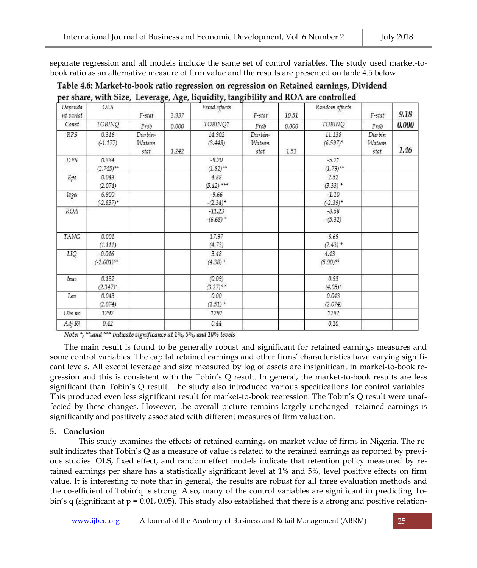separate regression and all models include the same set of control variables. The study used market-tobook ratio as an alternative measure of firm value and the results are presented on table 4.5 below

| Depende<br>nt varial | OLS                       | F-stat                    | 3.937 | Fixed effects            | F-stat                    | 10.51 | Random effects          | F-stat                   | 9.18  |
|----------------------|---------------------------|---------------------------|-------|--------------------------|---------------------------|-------|-------------------------|--------------------------|-------|
| Const                | TOBINQ                    | Prob                      | 0.000 | TOBINQ1                  | Prob                      | 0.000 | TOBINQ                  | Prob                     | 0.000 |
| RPS                  | 0.316<br>$(-1.177)$       | Durbin-<br>Watson<br>stat | 1.242 | 14.902<br>(3.448)        | Durbin-<br>Watson<br>stat | 1.53  | 11.138<br>$(6.597)^*$   | Durbin<br>Watson<br>stat | 1.46  |
| DPS                  | 0.334<br>$(2.745)$ **     |                           |       | $-9.20$<br>$-(1.82)$ **  |                           |       | $-5.21$<br>$-(1.79)$ ** |                          |       |
| Eps                  | 0.043<br>(2.074)          |                           |       | 4.88<br>$(5.42)$ ***     |                           |       | 2.52<br>$(3.33)$ *      |                          |       |
| lage <sub>i</sub>    | 6.900<br>$(-2.837)^*$     |                           |       | $-9.66$<br>$-(2.34)^{*}$ |                           |       | $-1.10$<br>$(-2.39)^*$  |                          |       |
| ROA                  |                           |                           |       | $-11.23$<br>$-(6.68)$ *  |                           |       | $-8.58$<br>$-(5.32)$    |                          |       |
| TANG                 | 0.001<br>(1.111)          |                           |       | 17.97<br>(4.73)          |                           |       | 6.69<br>$(2.43)$ *      |                          |       |
| LIQ                  | $-0.046$<br>$(-2.601)$ ** |                           |       | 3.48<br>$(4.38)$ *       |                           |       | 4.43<br>$(5.90)$ **     |                          |       |
| inas                 | 0.132<br>$(2.347)^*$      |                           |       | (0.09)<br>$(3.27)$ **    |                           |       | 0.93<br>$(4.05)^*$      |                          |       |
| Lev                  | 0.043<br>(2.074)          |                           |       | 0.00<br>$(1.51)$ *       |                           |       | 0.043<br>(2.074)        |                          |       |
| Obs no               | 1292                      |                           |       | 1292                     |                           |       | 1292                    |                          |       |
| Adj R <sup>2</sup>   | 0.42                      |                           |       | 0.44                     |                           |       | 0.10                    |                          |       |

Table 4.6: Market-to-book ratio regression on regression on Retained earnings, Dividend per share, with Size. Leverage, Age, liquidity, tangibility and ROA are controlled

Note: \*, \*\*. and \*\*\* indicate significance at 1%, 5%, and 10% levels

The main result is found to be generally robust and significant for retained earnings measures and some control variables. The capital retained earnings and other firms' characteristics have varying significant levels. All except leverage and size measured by log of assets are insignificant in market-to-book regression and this is consistent with the Tobin's Q result. In general, the market-to-book results are less significant than Tobin's Q result. The study also introduced various specifications for control variables. This produced even less significant result for market-to-book regression. The Tobin's Q result were unaffected by these changes. However, the overall picture remains largely unchanged- retained earnings is significantly and positively associated with different measures of firm valuation.

# **5. Conclusion**

This study examines the effects of retained earnings on market value of firms in Nigeria. The result indicates that Tobin's Q as a measure of value is related to the retained earnings as reported by previous studies. OLS, fixed effect, and random effect models indicate that retention policy measured by retained earnings per share has a statistically significant level at 1% and 5%, level positive effects on firm value. It is interesting to note that in general, the results are robust for all three evaluation methods and the co-efficient of Tobin'q is strong. Also, many of the control variables are significant in predicting Tobin's q (significant at  $p = 0.01$ , 0.05). This study also established that there is a strong and positive relation-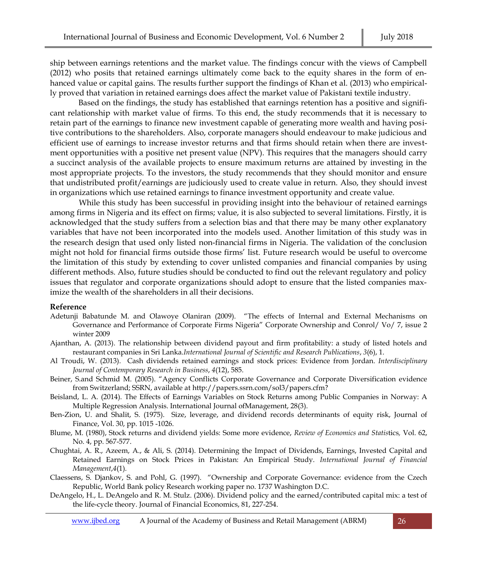ship between earnings retentions and the market value. The findings concur with the views of Campbell (2012) who posits that retained earnings ultimately come back to the equity shares in the form of enhanced value or capital gains. The results further support the findings of Khan et al. (2013) who empirically proved that variation in retained earnings does affect the market value of Pakistani textile industry.

Based on the findings, the study has established that earnings retention has a positive and significant relationship with market value of firms. To this end, the study recommends that it is necessary to retain part of the earnings to finance new investment capable of generating more wealth and having positive contributions to the shareholders. Also, corporate managers should endeavour to make judicious and efficient use of earnings to increase investor returns and that firms should retain when there are investment opportunities with a positive net present value (NPV). This requires that the managers should carry a succinct analysis of the available projects to ensure maximum returns are attained by investing in the most appropriate projects. To the investors, the study recommends that they should monitor and ensure that undistributed profit/earnings are judiciously used to create value in return. Also, they should invest in organizations which use retained earnings to finance investment opportunity and create value.

While this study has been successful in providing insight into the behaviour of retained earnings among firms in Nigeria and its effect on firms; value, it is also subjected to several limitations. Firstly, it is acknowledged that the study suffers from a selection bias and that there may be many other explanatory variables that have not been incorporated into the models used. Another limitation of this study was in the research design that used only listed non-financial firms in Nigeria. The validation of the conclusion might not hold for financial firms outside those firms' list. Future research would be useful to overcome the limitation of this study by extending to cover unlisted companies and financial companies by using different methods. Also, future studies should be conducted to find out the relevant regulatory and policy issues that regulator and corporate organizations should adopt to ensure that the listed companies maximize the wealth of the shareholders in all their decisions.

#### **Reference**

- Adetunji Babatunde M. and Olawoye Olaniran (2009). "The effects of Internal and External Mechanisms on Governance and Performance of Corporate Firms Nigeria" Corporate Ownership and Conrol/ Vo/ 7, issue 2 winter 2009
- Ajanthan, A. (2013). The relationship between dividend payout and firm profitability: a study of listed hotels and restaurant companies in Sri Lanka.*International Journal of Scientific and Research Publications*, *3*(6), 1.
- Al Troudi, W. (2013). Cash dividends retained earnings and stock prices: Evidence from Jordan. *Interdisciplinary Journal of Contemporary Research in Business*, *4*(12), 585.
- Beiner, S.and Schmid M. (2005). "Agency Conflicts Corporate Governance and Corporate Diversification evidence from Switzerland; SSRN, available at [http://papers.ssrn.com/sol3/papers.cfm?](http://papers.ssrn.com/sol3/papers.cfm)
- Beisland, L. A. (2014). The Effects of Earnings Variables on Stock Returns among Public Companies in Norway: A Multiple Regression Analysis. International Journal ofManagement, 28(3).
- Ben-Zion, U. and Shalit, S. (1975). Size, leverage, and dividend records determinants of equity risk, Journal of Finance, Vol. 30, pp. 1015 -1026.
- Blume, M. (1980), Stock returns and dividend yields: Some more evidence, *Review of Economics and Statis*tics*,* Vol. 62, No. 4, pp. 567-577.
- Chughtai, A. R., Azeem, A., & Ali, S. (2014). Determining the Impact of Dividends, Earnings, Invested Capital and Retained Earnings on Stock Prices in Pakistan: An Empirical Study. *International Journal of Financial Management*,*4*(1).
- Claessens, S. Djankov, S. and Pohl, G. (1997). "Ownership and Corporate Governance: evidence from the Czech Republic, World Bank policy Research working paper no. 1737 Washington D.C.
- DeAngelo, H., L. DeAngelo and R. M. Stulz. (2006). Dividend policy and the earned/contributed capital mix: a test of the life-cycle theory. Journal of Financial Economics, 81, 227-254.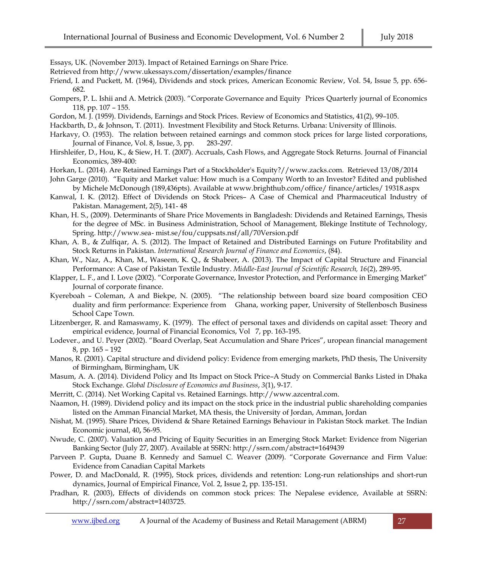Essays, UK. (November 2013). Impact of Retained Earnings on Share Price.

- Retrieved from http://www.ukessays.com/dissertation/examples/finance
- Friend, I. and Puckett, M. (1964), Dividends and stock prices, American Economic Review, Vol. 54, Issue 5, pp. 656- 682.
- Gompers, P. L. Ishii and A. Metrick (2003). "Corporate Governance and Equity Prices Quarterly journal of Economics 118, pp. 107 – 155.
- Gordon, M. J. (1959). Dividends, Earnings and Stock Prices. Review of Economics and Statistics, 41(2), 99–105.
- Hackbarth, D., & Johnson, T. (2011). Investment Flexibility and Stock Returns. Urbana: University of Illinois.
- Harkavy, O. (1953). The relation between retained earnings and common stock prices for large listed corporations, Journal of Finance, Vol. 8, Issue, 3, pp. 283-297.
- Hirshleifer, D., Hou, K., & Siew, H. T. (2007). Accruals, Cash Flows, and Aggregate Stock Returns. Journal of Financial Economics, 389-400:
- Horkan, L. (2014). Are Retained Earnings Part of a Stockholder's Equity?//www.zacks.com. Retrieved 13/08/2014
- John Garge (2010). "Equity and Market value: How much is a Company Worth to an Investor? Edited and published by Michele McDonough (189,436pts). Available a[t www.brighthub.com/office/](http://www.brighthub.com/office/) finance/articles/ 19318.aspx
- Kanwal, I. K. (2012). Effect of Dividends on Stock Prices– A Case of Chemical and Pharmaceutical Industry of Pakistan. Management, 2(5), 141- 48
- Khan, H. S., (2009). Determinants of Share Price Movements in Bangladesh: Dividends and Retained Earnings, Thesis for the degree of MSc. in Business Administration, School of Management, Blekinge Institute of Technology, Spring. http://www.sea- mist.se/fou/cuppsats.nsf/all/70Version.pdf
- Khan, A. B., & Zulfiqar, A. S. (2012). The Impact of Retained and Distributed Earnings on Future Profitability and Stock Returns in Pakistan. *International Research Journal of Finance and Economics*, (84).
- Khan, W., Naz, A., Khan, M., Waseem, K. Q., & Shabeer, A. (2013). The Impact of Capital Structure and Financial Performance: A Case of Pakistan Textile Industry. *Middle-East Journal of Scientific Research, 16*(2), 289-95.
- Klapper, L. F., and I. Love (2002). "Corporate Governance, Investor Protection, and Performance in Emerging Market" Journal of corporate finance.
- Kyereboah Coleman, A and Biekpe, N. (2005). "The relationship between board size board composition CEO duality and firm performance: Experience from Ghana, working paper, University of Stellenbosch Business School Cape Town.
- Litzenberger, R. and Ramaswamy, K. (1979). The effect of personal taxes and dividends on capital asset: Theory and empirical evidence, Journal of Financial Economics, Vol 7, pp. 163-195.
- Lodever., and U. Peyer (2002). "Board Overlap, Seat Accumulation and Share Prices", uropean financial management 8, pp. 165 – 192
- Manos, R. (2001). Capital structure and dividend policy: Evidence from emerging markets, PhD thesis, The University of Birmingham, Birmingham, UK
- Masum, A. A. (2014). Dividend Policy and Its Impact on Stock Price–A Study on Commercial Banks Listed in Dhaka Stock Exchange. *Global Disclosure of Economics and Business*, *3*(1), 9-17.
- Merritt, C. (2014). Net Working Capital vs. Retained Earnings. [http://www.azcentral.com.](http://www.azcentral.com/)
- Naamon, H. (1989). Dividend policy and its impact on the stock price in the industrial public shareholding companies listed on the Amman Financial Market, MA thesis, the University of Jordan, Amman, Jordan
- Nishat, M. (1995). Share Prices, Dividend & Share Retained Earnings Behaviour in Pakistan Stock market. The Indian Economic journal, 40**,** 56-95.
- Nwude, C. (2007). Valuation and Pricing of Equity Securities in an Emerging Stock Market: Evidence from Nigerian Banking Sector (July 27, 2007). Available at SSRN: http://ssrn.com/abstract=1649439
- Parveen P. Gupta, Duane B. Kennedy and Samuel C. Weaver (2009). "Corporate Governance and Firm Value: Evidence from Canadian Capital Markets
- Power, D. and MacDonald, R. (1995), Stock prices, dividends and retention: Long-run relationships and short-run dynamics, Journal of Empirical Finance, Vol. 2, Issue 2, pp. 135-151.
- Pradhan, R. (2003), Effects of dividends on common stock prices: The Nepalese evidence, Available at SSRN: [http://ssrn.com/abstract=1403725.](http://ssrn.com/abstract=1403725)